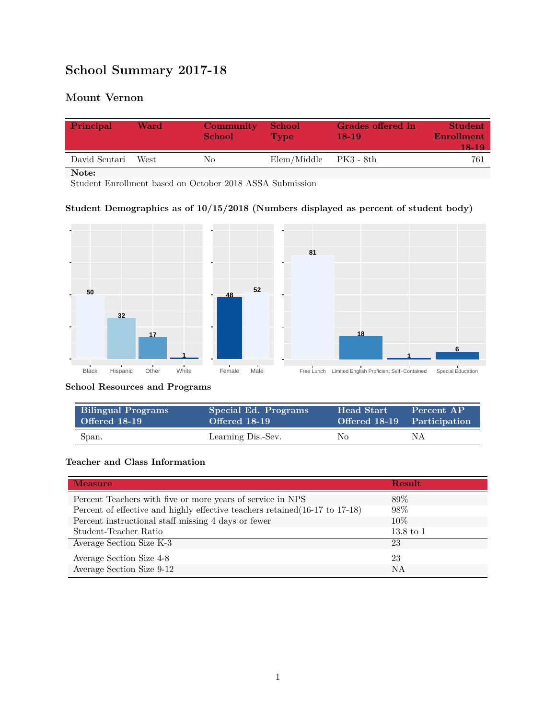# **School Summary 2017-18**

## **Mount Vernon**

| Principal     | Ward | <b>Community</b><br><b>School</b> | <b>School</b><br><b>Type</b> | Grades offered in<br>$18-19$ | <b>Student</b><br>Enrollment<br>18-19 |
|---------------|------|-----------------------------------|------------------------------|------------------------------|---------------------------------------|
| David Scutari | West | Nο                                | Elem/Middle                  | PK3 - 8th                    | 761                                   |
| Note:         |      |                                   |                              |                              |                                       |

Student Enrollment based on October 2018 ASSA Submission

## **Student Demographics as of 10/15/2018 (Numbers displayed as percent of student body)**



#### **School Resources and Programs**

| <b>Bilingual Programs</b> | Special Ed. Programs | <b>Head Start</b> | Percent AP                  |
|---------------------------|----------------------|-------------------|-----------------------------|
| Offered 18-19             | Offered 18-19        |                   | Offered 18-19 Participation |
| Span.                     | Learning Dis.-Sev.   | No.               | ΝA                          |

#### **Teacher and Class Information**

| <b>Measure</b>                                                               | <b>Result</b>        |
|------------------------------------------------------------------------------|----------------------|
| Percent Teachers with five or more years of service in NPS                   | 89\%                 |
| Percent of effective and highly effective teachers retained (16-17 to 17-18) | 98\%                 |
| Percent instructional staff missing 4 days or fewer                          | 10\%                 |
| Student-Teacher Ratio                                                        | $13.8 \text{ to } 1$ |
| Average Section Size K-3                                                     | 23                   |
| Average Section Size 4-8                                                     | 23                   |
| Average Section Size 9-12                                                    | NA                   |